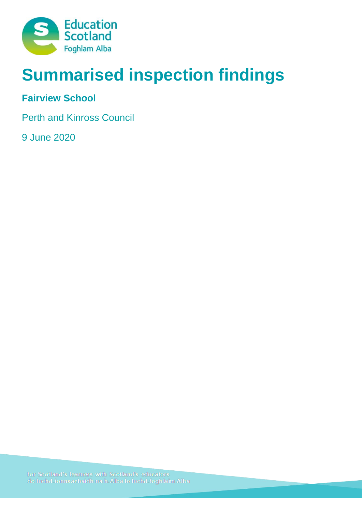

# **Summarised inspection findings**

# **Fairview School**

Perth and Kinross Council

9 June 2020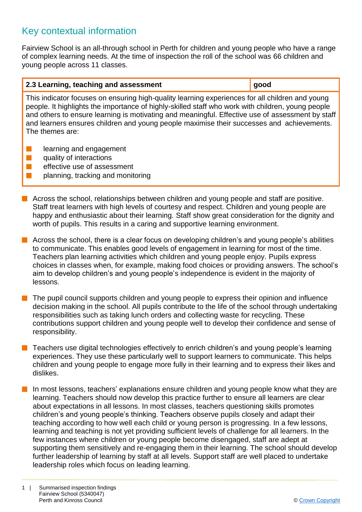# Key contextual information

Fairview School is an all-through school in Perth for children and young people who have a range of complex learning needs. At the time of inspection the roll of the school was 66 children and young people across 11 classes.

#### **2.3 Learning, teaching and assessment good**

This indicator focuses on ensuring high-quality learning experiences for all children and young people. It highlights the importance of highly-skilled staff who work with children, young people and others to ensure learning is motivating and meaningful. Effective use of assessment by staff and learners ensures children and young people maximise their successes and achievements. The themes are:

- **n** learning and engagement
- $\blacksquare$  quality of interactions
- $\blacksquare$  effective use of assessment
- $\blacksquare$  planning, tracking and monitoring

 $\blacksquare$  Across the school, relationships between children and young people and staff are positive. Staff treat learners with high levels of courtesy and respect. Children and young people are happy and enthusiastic about their learning. Staff show great consideration for the dignity and worth of pupils. This results in a caring and supportive learning environment.

 $\blacksquare$  Across the school, there is a clear focus on developing children's and young people's abilities to communicate. This enables good levels of engagement in learning for most of the time. Teachers plan learning activities which children and young people enjoy. Pupils express choices in classes when, for example, making food choices or providing answers. The school's aim to develop children's and young people's independence is evident in the majority of lessons.

The pupil council supports children and young people to express their opinion and influence decision making in the school. All pupils contribute to the life of the school through undertaking responsibilities such as taking lunch orders and collecting waste for recycling. These contributions support children and young people well to develop their confidence and sense of responsibility.

 $\blacksquare$  Teachers use digital technologies effectively to enrich children's and young people's learning experiences. They use these particularly well to support learners to communicate. This helps children and young people to engage more fully in their learning and to express their likes and dislikes.

In most lessons, teachers' explanations ensure children and young people know what they are learning. Teachers should now develop this practice further to ensure all learners are clear about expectations in all lessons. In most classes, teachers questioning skills promotes children's and young people's thinking. Teachers observe pupils closely and adapt their teaching according to how well each child or young person is progressing. In a few lessons, learning and teaching is not yet providing sufficient levels of challenge for all learners. In the few instances where children or young people become disengaged, staff are adept at supporting them sensitively and re-engaging them in their learning. The school should develop further leadership of learning by staff at all levels. Support staff are well placed to undertake leadership roles which focus on leading learning.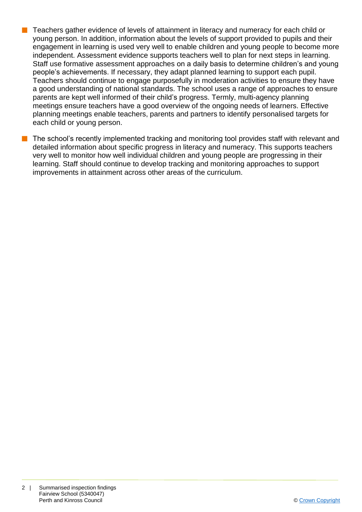- n Teachers gather evidence of levels of attainment in literacy and numeracy for each child or young person. In addition, information about the levels of support provided to pupils and their engagement in learning is used very well to enable children and young people to become more independent. Assessment evidence supports teachers well to plan for next steps in learning. Staff use formative assessment approaches on a daily basis to determine children's and young people's achievements. If necessary, they adapt planned learning to support each pupil. Teachers should continue to engage purposefully in moderation activities to ensure they have a good understanding of national standards. The school uses a range of approaches to ensure parents are kept well informed of their child's progress. Termly, multi-agency planning meetings ensure teachers have a good overview of the ongoing needs of learners. Effective planning meetings enable teachers, parents and partners to identify personalised targets for each child or young person.
- The school's recently implemented tracking and monitoring tool provides staff with relevant and detailed information about specific progress in literacy and numeracy. This supports teachers very well to monitor how well individual children and young people are progressing in their learning. Staff should continue to develop tracking and monitoring approaches to support improvements in attainment across other areas of the curriculum.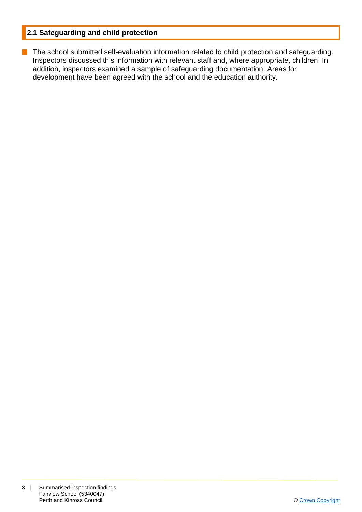## **2.1 Safeguarding and child protection**

**n** The school submitted self-evaluation information related to child protection and safeguarding. Inspectors discussed this information with relevant staff and, where appropriate, children. In addition, inspectors examined a sample of safeguarding documentation. Areas for development have been agreed with the school and the education authority.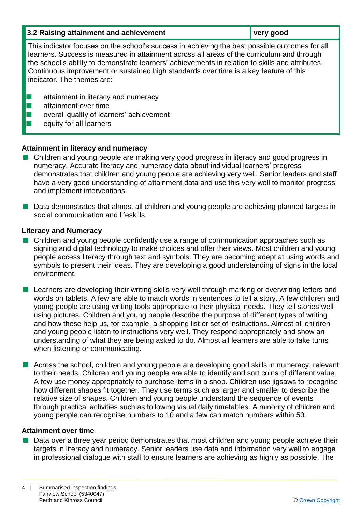| 3.2 Raising attainment and achievement                                                                                                                                                                                                                                                                                                                                                                                  | very good |
|-------------------------------------------------------------------------------------------------------------------------------------------------------------------------------------------------------------------------------------------------------------------------------------------------------------------------------------------------------------------------------------------------------------------------|-----------|
| This indicator focuses on the school's success in achieving the best possible outcomes for all<br>learners. Success is measured in attainment across all areas of the curriculum and through<br>the school's ability to demonstrate learners' achievements in relation to skills and attributes.<br>Continuous improvement or sustained high standards over time is a key feature of this<br>indicator. The themes are: |           |
| attainment in literacy and numeracy<br>attainment over time<br>overall quality of learners' achievement<br>equity for all learners                                                                                                                                                                                                                                                                                      |           |

## **Attainment in literacy and numeracy**

- Children and young people are making very good progress in literacy and good progress in numeracy. Accurate literacy and numeracy data about individual learners' progress demonstrates that children and young people are achieving very well. Senior leaders and staff have a very good understanding of attainment data and use this very well to monitor progress and implement interventions.
- Data demonstrates that almost all children and young people are achieving planned targets in social communication and lifeskills.

#### **Literacy and Numeracy**

- Children and young people confidently use a range of communication approaches such as signing and digital technology to make choices and offer their views. Most children and young people access literacy through text and symbols. They are becoming adept at using words and symbols to present their ideas. They are developing a good understanding of signs in the local environment.
- **n** Learners are developing their writing skills very well through marking or overwriting letters and words on tablets. A few are able to match words in sentences to tell a story. A few children and young people are using writing tools appropriate to their physical needs. They tell stories well using pictures. Children and young people describe the purpose of different types of writing and how these help us, for example, a shopping list or set of instructions. Almost all children and young people listen to instructions very well. They respond appropriately and show an understanding of what they are being asked to do. Almost all learners are able to take turns when listening or communicating.
- **n** Across the school, children and young people are developing good skills in numeracy, relevant to their needs. Children and young people are able to identify and sort coins of different value. A few use money appropriately to purchase items in a shop. Children use jigsaws to recognise how different shapes fit together. They use terms such as larger and smaller to describe the relative size of shapes. Children and young people understand the sequence of events through practical activities such as following visual daily timetables. A minority of children and young people can recognise numbers to 10 and a few can match numbers within 50.

#### **Attainment over time**

■ Data over a three year period demonstrates that most children and young people achieve their targets in literacy and numeracy. Senior leaders use data and information very well to engage in professional dialogue with staff to ensure learners are achieving as highly as possible. The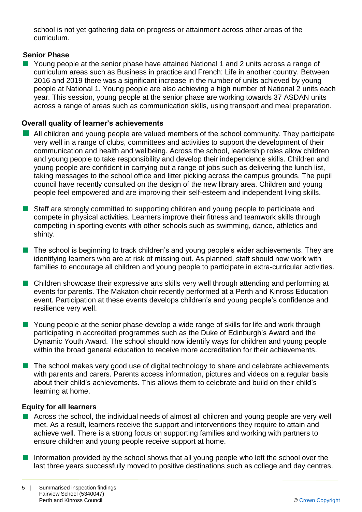school is not yet gathering data on progress or attainment across other areas of the curriculum.

## **Senior Phase**

■ Young people at the senior phase have attained National 1 and 2 units across a range of curriculum areas such as Business in practice and French: Life in another country. Between 2016 and 2019 there was a significant increase in the number of units achieved by young people at National 1. Young people are also achieving a high number of National 2 units each year. This session, young people at the senior phase are working towards 37 ASDAN units across a range of areas such as communication skills, using transport and meal preparation.

## **Overall quality of learner's achievements**

- $\blacksquare$  All children and young people are valued members of the school community. They participate very well in a range of clubs, committees and activities to support the development of their communication and health and wellbeing. Across the school, leadership roles allow children and young people to take responsibility and develop their independence skills. Children and young people are confident in carrying out a range of jobs such as delivering the lunch list, taking messages to the school office and litter picking across the campus grounds. The pupil council have recently consulted on the design of the new library area. Children and young people feel empowered and are improving their self-esteem and independent living skills.
- Staff are strongly committed to supporting children and young people to participate and compete in physical activities. Learners improve their fitness and teamwork skills through competing in sporting events with other schools such as swimming, dance, athletics and shinty.
- $\blacksquare$  The school is beginning to track children's and young people's wider achievements. They are identifying learners who are at risk of missing out. As planned, staff should now work with families to encourage all children and young people to participate in extra-curricular activities.
- Children showcase their expressive arts skills very well through attending and performing at events for parents. The Makaton choir recently performed at a Perth and Kinross Education event. Participation at these events develops children's and young people's confidence and resilience very well.
- **n** Young people at the senior phase develop a wide range of skills for life and work through participating in accredited programmes such as the Duke of Edinburgh's Award and the Dynamic Youth Award. The school should now identify ways for children and young people within the broad general education to receive more accreditation for their achievements.
- $\blacksquare$  The school makes very good use of digital technology to share and celebrate achievements with parents and carers. Parents access information, pictures and videos on a regular basis about their child's achievements. This allows them to celebrate and build on their child's learning at home.

#### **Equity for all learners**

- $\blacksquare$  Across the school, the individual needs of almost all children and young people are very well met. As a result, learners receive the support and interventions they require to attain and achieve well. There is a strong focus on supporting families and working with partners to ensure children and young people receive support at home.
- $\blacksquare$  Information provided by the school shows that all young people who left the school over the last three years successfully moved to positive destinations such as college and day centres.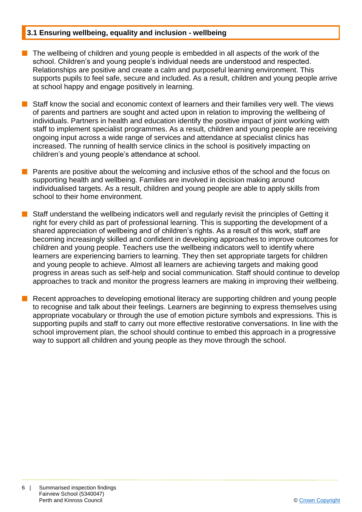#### **3.1 Ensuring wellbeing, equality and inclusion - wellbeing**

- The wellbeing of children and young people is embedded in all aspects of the work of the school. Children's and young people's individual needs are understood and respected. Relationships are positive and create a calm and purposeful learning environment. This supports pupils to feel safe, secure and included. As a result, children and young people arrive at school happy and engage positively in learning.
- n Staff know the social and economic context of learners and their families very well. The views of parents and partners are sought and acted upon in relation to improving the wellbeing of individuals. Partners in health and education identify the positive impact of joint working with staff to implement specialist programmes. As a result, children and young people are receiving ongoing input across a wide range of services and attendance at specialist clinics has increased. The running of health service clinics in the school is positively impacting on children's and young people's attendance at school.
- **n** Parents are positive about the welcoming and inclusive ethos of the school and the focus on supporting health and wellbeing. Families are involved in decision making around individualised targets. As a result, children and young people are able to apply skills from school to their home environment.
- Staff understand the wellbeing indicators well and regularly revisit the principles of Getting it right for every child as part of professional learning. This is supporting the development of a shared appreciation of wellbeing and of children's rights. As a result of this work, staff are becoming increasingly skilled and confident in developing approaches to improve outcomes for children and young people. Teachers use the wellbeing indicators well to identify where learners are experiencing barriers to learning. They then set appropriate targets for children and young people to achieve. Almost all learners are achieving targets and making good progress in areas such as self-help and social communication. Staff should continue to develop approaches to track and monitor the progress learners are making in improving their wellbeing.
- Recent approaches to developing emotional literacy are supporting children and young people to recognise and talk about their feelings. Learners are beginning to express themselves using appropriate vocabulary or through the use of emotion picture symbols and expressions. This is supporting pupils and staff to carry out more effective restorative conversations. In line with the school improvement plan, the school should continue to embed this approach in a progressive way to support all children and young people as they move through the school.